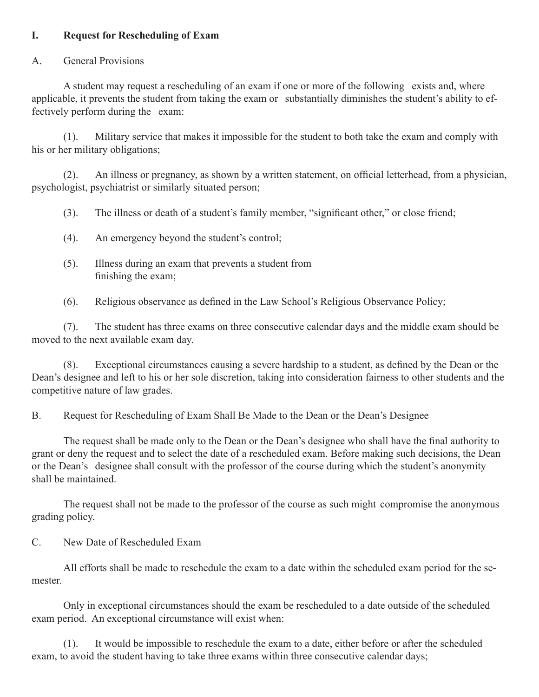### **I. Request for Rescheduling of Exam**

### A. General Provisions

A student may request a rescheduling of an exam if one or more of the following exists and, where applicable, it prevents the student from taking the exam or substantially diminishes the student's ability to effectively perform during the exam:

(1). Military service that makes it impossible for the student to both take the exam and comply with his or her military obligations;

 (2). An illness or pregnancy, as shown by a written statement, on official letterhead, from a physician, psychologist, psychiatrist or similarly situated person;

 (3). The illness or death of a student's family member, "significant other," or close friend;

- (4). An emergency beyond the student's control;
- (5). Illness during an exam that prevents a student from finishing the exam;

 (6). Religious observance as defined in the Law School's Religious Observance Policy;

(7). The student has three exams on three consecutive calendar days and the middle exam should be moved to the next available exam day.

 (8). Exceptional circumstances causing a severe hardship to a student, as defined by the Dean or the Dean's designee and left to his or her sole discretion, taking into consideration fairness to other students and the competitive nature of law grades.

B. Request for Rescheduling of Exam Shall Be Made to the Dean or the Dean's Designee

 The request shall be made only to the Dean or the Dean's designee who shall have the final authority to grant or deny the request and to select the date of a rescheduled exam. Before making such decisions, the Dean or the Dean's designee shall consult with the professor of the course during which the student's anonymity shall be maintained.

The request shall not be made to the professor of the course as such might compromise the anonymous grading policy.

C. New Date of Rescheduled Exam

All efforts shall be made to reschedule the exam to a date within the scheduled exam period for the semester.

 Only in exceptional circumstances should the exam be rescheduled to a date outside of the scheduled exam period. An exceptional circumstance will exist when:

(1). It would be impossible to reschedule the exam to a date, either before or after the scheduled exam, to avoid the student having to take three exams within three consecutive calendar days;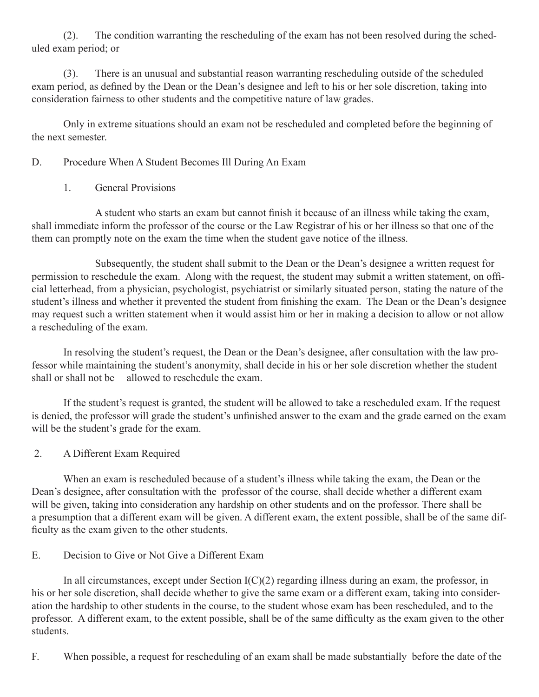(2). The condition warranting the rescheduling of the exam has not been resolved during the scheduled exam period; or

(3). There is an unusual and substantial reason warranting rescheduling outside of the scheduled exam period, as defined by the Dean or the Dean's designee and left to his or her sole discretion, taking into consideration fairness to other students and the competitive nature of law grades.

 Only in extreme situations should an exam not be rescheduled and completed before the beginning of the next semester.

## D. Procedure When A Student Becomes Ill During An Exam

1. General Provisions

 A student who starts an exam but cannot finish it because of an illness while taking the exam, shall immediate inform the professor of the course or the Law Registrar of his or her illness so that one of the them can promptly note on the exam the time when the student gave notice of the illness.

 Subsequently, the student shall submit to the Dean or the Dean's designee a written request for permission to reschedule the exam. Along with the request, the student may submit a written statement, on official letterhead, from a physician, psychologist, psychiatrist or similarly situated person, stating the nature of the student's illness and whether it prevented the student from finishing the exam. The Dean or the Dean's designee may request such a written statement when it would assist him or her in making a decision to allow or not allow a rescheduling of the exam.

 In resolving the student's request, the Dean or the Dean's designee, after consultation with the law professor while maintaining the student's anonymity, shall decide in his or her sole discretion whether the student shall or shall not be allowed to reschedule the exam.

If the student's request is granted, the student will be allowed to take a rescheduled exam. If the request is denied, the professor will grade the student's unfinished answer to the exam and the grade earned on the exam will be the student's grade for the exam.

2. A Different Exam Required

 When an exam is rescheduled because of a student's illness while taking the exam, the Dean or the Dean's designee, after consultation with the professor of the course, shall decide whether a different exam will be given, taking into consideration any hardship on other students and on the professor. There shall be a presumption that a different exam will be given. A different exam, the extent possible, shall be of the same difficulty as the exam given to the other students.

# E. Decision to Give or Not Give a Different Exam

In all circumstances, except under Section  $I(C)(2)$  regarding illness during an exam, the professor, in his or her sole discretion, shall decide whether to give the same exam or a different exam, taking into consideration the hardship to other students in the course, to the student whose exam has been rescheduled, and to the professor. A different exam, to the extent possible, shall be of the same difficulty as the exam given to the other students.

F. When possible, a request for rescheduling of an exam shall be made substantially before the date of the